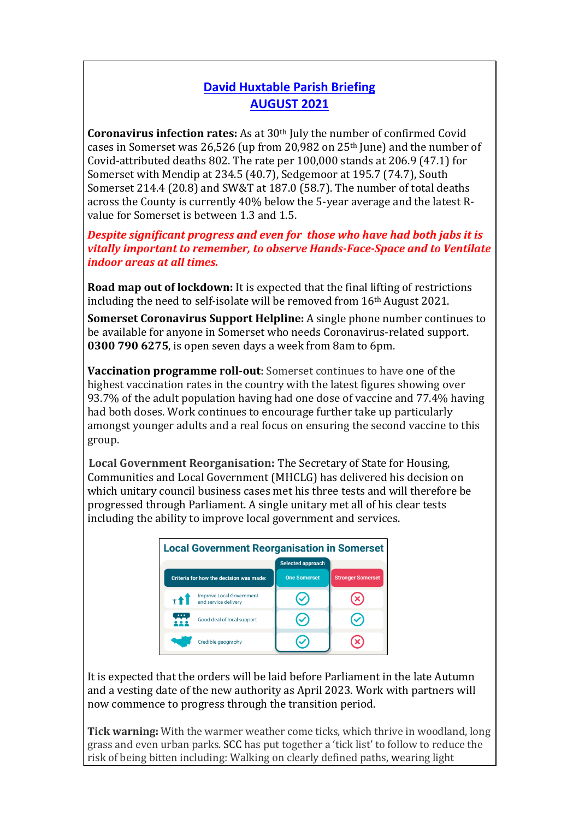## **David Huxtable Parish Briefing AUGUST 2021**

**Coronavirus infection rates:** As at 30<sup>th</sup> July the number of confirmed Covid cases in Somerset was 26,526 (up from 20,982 on 25th June) and the number of Covid-attributed deaths 802. The rate per 100,000 stands at 206.9 (47.1) for Somerset with Mendip at 234.5 (40.7), Sedgemoor at 195.7 (74.7), South Somerset 214.4 (20.8) and SW&T at 187.0 (58.7). The number of total deaths across the County is currently 40% below the 5-year average and the latest Rvalue for Somerset is between 1.3 and 1.5.

*Despite significant progress and even for those who have had both jabs it is vitally important to remember, to observe Hands-Face-Space and to Ventilate indoor areas at all times.*

**Road map out of lockdown:** It is expected that the final lifting of restrictions including the need to self-isolate will be removed from 16th August 2021.

**Somerset Coronavirus Support Helpline:** A single phone number continues to be available for anyone in Somerset who needs Coronavirus-related support. **0300 790 6275**, is open seven days a week from 8am to 6pm.

**Vaccination programme roll-out**: Somerset continues to have one of the highest vaccination rates in the country with the latest figures showing over 93.7% of the adult population having had one dose of vaccine and 77.4% having had both doses. Work continues to encourage further take up particularly amongst younger adults and a real focus on ensuring the second vaccine to this group.

**Local Government Reorganisation:** The Secretary of State for Housing, Communities and Local Government (MHCLG) has delivered his decision on which unitary council business cases met his three tests and will therefore be progressed through Parliament. A single unitary met all of his clear tests including the ability to improve local government and services.

| <b>Local Government Reorganisation in Somerset</b>                 |                           |                          |
|--------------------------------------------------------------------|---------------------------|--------------------------|
|                                                                    | <b>Selected approach</b>  |                          |
| Criteria for how the decision was made:                            | <b>One Somerset</b>       | <b>Stronger Somerset</b> |
| <b>Improve Local Government</b><br>$r + 1$<br>and service delivery | $\ddot{\bm{\circ}}$       | x                        |
| Good deal of local support                                         | $\breve{\bm{\mathsf{v}}}$ | $\ddot{\bm{\circ}}$      |
| Credible geography                                                 |                           |                          |

It is expected that the orders will be laid before Parliament in the late Autumn and a vesting date of the new authority as April 2023. Work with partners will now commence to progress through the transition period.

**Tick warning:** With the warmer weather come ticks, which thrive in woodland, long grass and even urban parks. SCC has put together a 'tick list' to follow to reduce the risk of being bitten including: Walking on clearly defined paths, wearing light